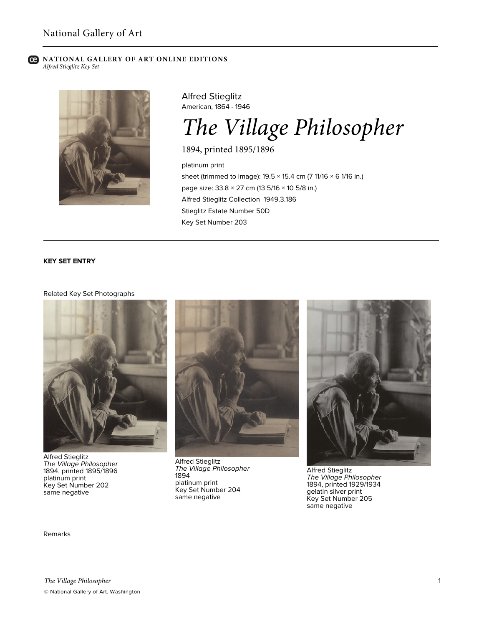#### **NATIONAL GALLERY OF ART ONLINE EDITIONS** ല *Alfred Stieglitz Key Set*



Alfred Stieglitz American, 1864 - 1946

# *The Village Philosopher*

1894, printed 1895/1896

platinum print sheet (trimmed to image):  $19.5 \times 15.4$  cm (7 11/16  $\times$  6 1/16 in.) page size: 33.8 × 27 cm (13 5/16 × 10 5/8 in.) Alfred Stieglitz Collection 1949.3.186 Stieglitz Estate Number 50D Key Set Number 203

## **KEY SET ENTRY**

## Related Key Set Photographs



Alfred Stieglitz *The Village Philosopher* 1894, printed 1895/1896 platinum print Key Set Number 202 same negative



Alfred Stieglitz *The Village Philosopher* 1894 platinum print Key Set Number 204 same negative



Alfred Stieglitz *The Village Philosopher* 1894, printed 1929/1934 gelatin silver print Key Set Number 205 same negative

### Remarks